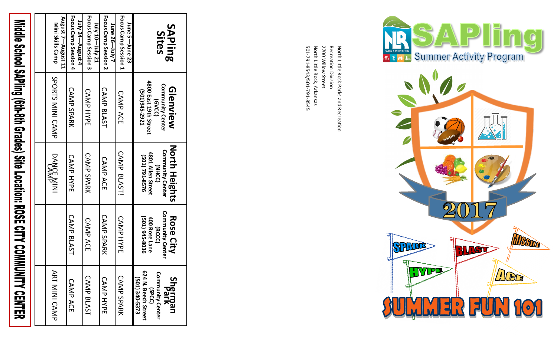# Middle School SAPling (6th-8th Grades) Site Location: ROSE CITY COMMUNITY CENTER

| <b>ART MINI CAMP</b>                                                                          |                                                                                          | <b>DANCE MININI</b>                                                                            | SPORTS MINI CAMP                                                                        | L1 tsuguA—T tauguA<br>Mini Skills Camp     |
|-----------------------------------------------------------------------------------------------|------------------------------------------------------------------------------------------|------------------------------------------------------------------------------------------------|-----------------------------------------------------------------------------------------|--------------------------------------------|
| CAMP ACE                                                                                      | CAMP BLAST                                                                               | <b>CAMP HYPE</b>                                                                               | <b>CAMP SPARK</b>                                                                       | Focus Camp Session 4<br>huly 24-August 4   |
| CAMP BLAST                                                                                    | CAMP ACE                                                                                 | <b>CAMP SPARK</b>                                                                              | <b>CAMP HYPE</b>                                                                        | Focus Camp Session 3<br>14 \uly 10-July 21 |
| <b>CAMP HYPE</b>                                                                              | <b>CAMP SPARK</b>                                                                        | CAMP ACE                                                                                       | CAMP BLAST                                                                              | Focus Camp Session 2<br>June 26—July 7     |
| <b>CAMP SPARK</b>                                                                             | <b>CAMP HYPE</b>                                                                         | CAMP BLAST!                                                                                    | <b>CAMP ACE</b>                                                                         | Focus Camp Session 1<br>June 5-June 23     |
| (SPCC)<br>624 N. Beech Street<br>Community Center<br>(501) 340-5373<br><b>Sherman</b><br>Park | <b>Community Center</b><br>(501) 945-8036<br>400 Rose Lane<br><b>Rose City</b><br>(RCCC) | <b>North Heights</b><br><b>Community Center</b><br>4801 Allen Street<br>021 791-8576<br>(NHCC) | 4800 East 19th Street<br><b>Community Center</b><br>Glenview<br>[501)945-2921<br>(GVCC) | <b>SAPling</b><br>Sites                    |

501 North Little Rock, Arkansas 2700 Willow Street Recreation Division North Little Rock Parks and Recreation<br>Recreation Division<br>2700 Willow Street<br>North Little Rock, Arkansas